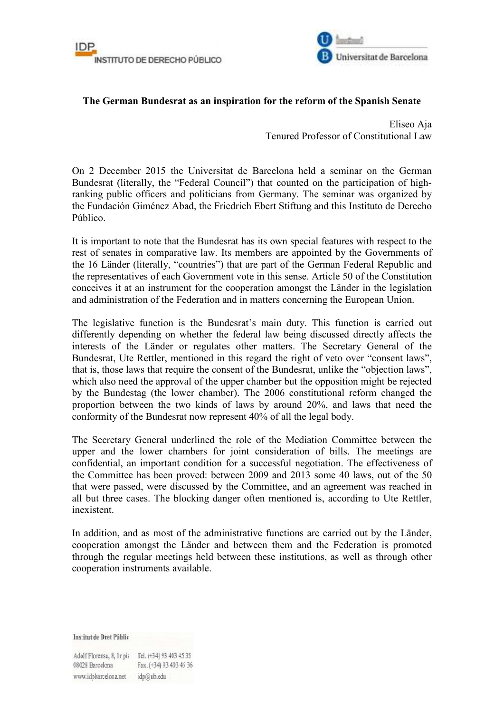



## **The German Bundesrat as an inspiration for the reform of the Spanish Senate**

Eliseo Aja Tenured Professor of Constitutional Law

On 2 December 2015 the Universitat de Barcelona held a seminar on the German Bundesrat (literally, the "Federal Council") that counted on the participation of highranking public officers and politicians from Germany. The seminar was organized by the Fundación Giménez Abad, the Friedrich Ebert Stiftung and this Instituto de Derecho Público.

It is important to note that the Bundesrat has its own special features with respect to the rest of senates in comparative law. Its members are appointed by the Governments of the 16 Länder (literally, "countries") that are part of the German Federal Republic and the representatives of each Government vote in this sense. Article 50 of the Constitution conceives it at an instrument for the cooperation amongst the Länder in the legislation and administration of the Federation and in matters concerning the European Union.

The legislative function is the Bundesrat's main duty. This function is carried out differently depending on whether the federal law being discussed directly affects the interests of the Länder or regulates other matters. The Secretary General of the Bundesrat, Ute Rettler, mentioned in this regard the right of veto over "consent laws", that is, those laws that require the consent of the Bundesrat, unlike the "objection laws", which also need the approval of the upper chamber but the opposition might be rejected by the Bundestag (the lower chamber). The 2006 constitutional reform changed the proportion between the two kinds of laws by around 20%, and laws that need the conformity of the Bundesrat now represent 40% of all the legal body.

The Secretary General underlined the role of the Mediation Committee between the upper and the lower chambers for joint consideration of bills. The meetings are confidential, an important condition for a successful negotiation. The effectiveness of the Committee has been proved: between 2009 and 2013 some 40 laws, out of the 50 that were passed, were discussed by the Committee, and an agreement was reached in all but three cases. The blocking danger often mentioned is, according to Ute Rettler, inexistent.

In addition, and as most of the administrative functions are carried out by the Länder, cooperation amongst the Länder and between them and the Federation is promoted through the regular meetings held between these institutions, as well as through other cooperation instruments available.

**Institut de Dret Públic** 

Adolf Florensa, 8, Ir pis Tel. (+34) 93 403 45 35 Fax. (+34) 93 403 45 36 08028 Barcelona www.idpbarcelona.net idp@ub.edu